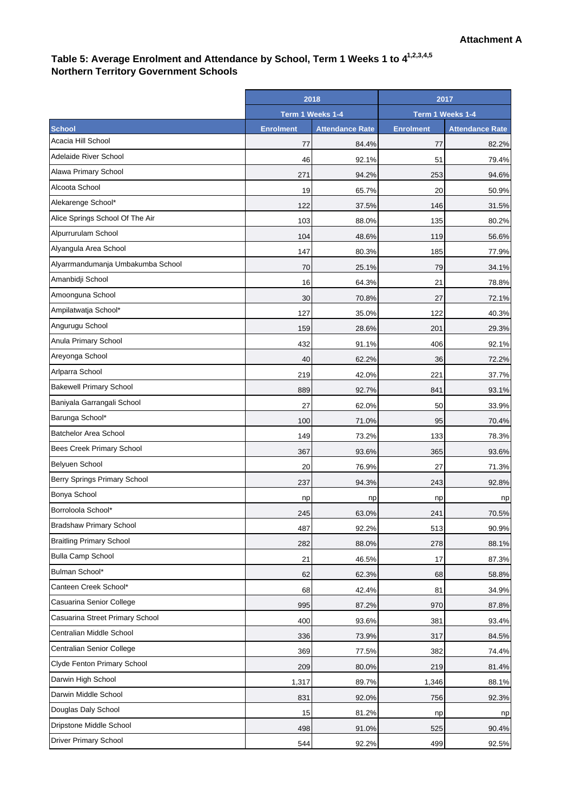## Table 5: Average Enrolment and Attendance by School, Term 1 Weeks 1 to 4<sup>1,2,3,4,5</sup> **Northern Territory Government Schools**

|                                   | 2018             |                        | 2017             |                        |
|-----------------------------------|------------------|------------------------|------------------|------------------------|
|                                   | Term 1 Weeks 1-4 |                        | Term 1 Weeks 1-4 |                        |
| <b>School</b>                     | <b>Enrolment</b> | <b>Attendance Rate</b> | <b>Enrolment</b> | <b>Attendance Rate</b> |
| Acacia Hill School                | 77               | 84.4%                  | 77               | 82.2%                  |
| Adelaide River School             | 46               | 92.1%                  | 51               | 79.4%                  |
| Alawa Primary School              | 271              | 94.2%                  | 253              | 94.6%                  |
| Alcoota School                    | 19               | 65.7%                  | 20               | 50.9%                  |
| Alekarenge School*                | 122              | 37.5%                  | 146              | 31.5%                  |
| Alice Springs School Of The Air   | 103              | 88.0%                  | 135              | 80.2%                  |
| Alpurrurulam School               | 104              | 48.6%                  | 119              | 56.6%                  |
| Alyangula Area School             | 147              | 80.3%                  | 185              | 77.9%                  |
| Alyarrmandumanja Umbakumba School | 70               | 25.1%                  | 79               | 34.1%                  |
| Amanbidji School                  | 16               | 64.3%                  | 21               | 78.8%                  |
| Amoonguna School                  | 30               | 70.8%                  | 27               | 72.1%                  |
| Ampilatwatja School*              | 127              | 35.0%                  | 122              | 40.3%                  |
| Angurugu School                   | 159              | 28.6%                  | 201              | 29.3%                  |
| Anula Primary School              | 432              | 91.1%                  | 406              | 92.1%                  |
| Areyonga School                   | 40               | 62.2%                  | 36               | 72.2%                  |
| Arlparra School                   | 219              | 42.0%                  | 221              | 37.7%                  |
| <b>Bakewell Primary School</b>    | 889              | 92.7%                  | 841              | 93.1%                  |
| Baniyala Garrangali School        | 27               | 62.0%                  | 50               | 33.9%                  |
| Barunga School*                   | 100              | 71.0%                  | 95               | 70.4%                  |
| <b>Batchelor Area School</b>      | 149              | 73.2%                  | 133              | 78.3%                  |
| Bees Creek Primary School         | 367              | 93.6%                  | 365              | 93.6%                  |
| <b>Belyuen School</b>             | 20               | 76.9%                  | 27               | 71.3%                  |
| Berry Springs Primary School      | 237              | 94.3%                  | 243              | 92.8%                  |
| Bonya School                      | np               | np                     | np               | np                     |
| Borroloola School*                | 245              | 63.0%                  | 241              | 70.5%                  |
| <b>Bradshaw Primary School</b>    | 487              | 92.2%                  | 513              | 90.9%                  |
| <b>Braitling Primary School</b>   | 282              | 88.0%                  | 278              | 88.1%                  |
| <b>Bulla Camp School</b>          | 21               | 46.5%                  | 17               | 87.3%                  |
| Bulman School*                    | 62               | 62.3%                  | 68               | 58.8%                  |
| Canteen Creek School*             | 68               | 42.4%                  | 81               | 34.9%                  |
| Casuarina Senior College          | 995              | 87.2%                  | 970              | 87.8%                  |
| Casuarina Street Primary School   | 400              | 93.6%                  | 381              | 93.4%                  |
| Centralian Middle School          | 336              | 73.9%                  | 317              | 84.5%                  |
| Centralian Senior College         | 369              | 77.5%                  | 382              | 74.4%                  |
| Clyde Fenton Primary School       | 209              | 80.0%                  | 219              | 81.4%                  |
| Darwin High School                | 1,317            | 89.7%                  | 1,346            | 88.1%                  |
| Darwin Middle School              | 831              | 92.0%                  | 756              | 92.3%                  |
| Douglas Daly School               | 15               | 81.2%                  | np               | np                     |
| Dripstone Middle School           | 498              | 91.0%                  | 525              | 90.4%                  |
| <b>Driver Primary School</b>      | 544              | 92.2%                  | 499              | 92.5%                  |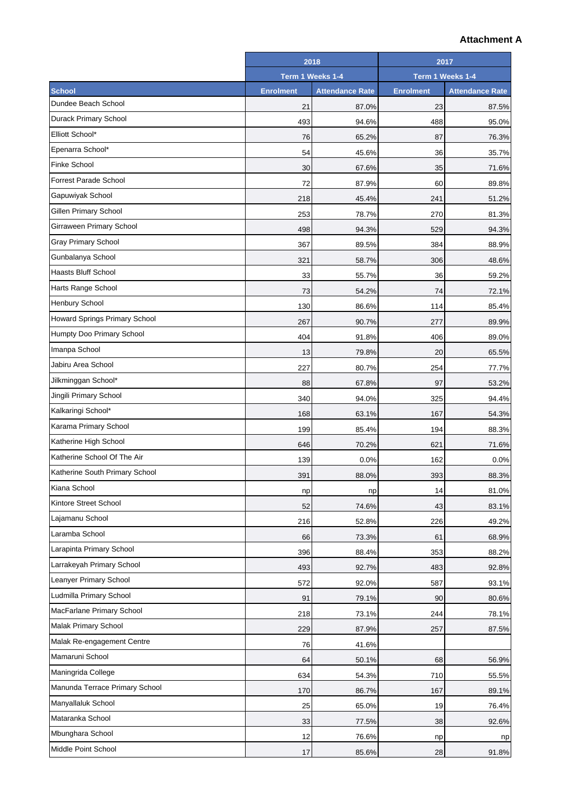## **Attachment A**

|                                      | 2018             |                        | 2017             |                        |
|--------------------------------------|------------------|------------------------|------------------|------------------------|
|                                      | Term 1 Weeks 1-4 |                        | Term 1 Weeks 1-4 |                        |
| <b>School</b>                        | <b>Enrolment</b> | <b>Attendance Rate</b> | <b>Enrolment</b> | <b>Attendance Rate</b> |
| Dundee Beach School                  | 21               | 87.0%                  | 23               | 87.5%                  |
| Durack Primary School                | 493              | 94.6%                  | 488              | 95.0%                  |
| Elliott School*                      | 76               | 65.2%                  | 87               | 76.3%                  |
| Epenarra School*                     | 54               | 45.6%                  | 36               | 35.7%                  |
| <b>Finke School</b>                  | 30               | 67.6%                  | 35               | 71.6%                  |
| Forrest Parade School                | 72               | 87.9%                  | 60               | 89.8%                  |
| Gapuwiyak School                     | 218              | 45.4%                  | 241              | 51.2%                  |
| Gillen Primary School                | 253              | 78.7%                  | 270              | 81.3%                  |
| Girraween Primary School             | 498              | 94.3%                  | 529              | 94.3%                  |
| Gray Primary School                  | 367              | 89.5%                  | 384              | 88.9%                  |
| Gunbalanya School                    | 321              | 58.7%                  | 306              | 48.6%                  |
| <b>Haasts Bluff School</b>           | 33               | 55.7%                  | 36               | 59.2%                  |
| Harts Range School                   | 73               | 54.2%                  | 74               | 72.1%                  |
| <b>Henbury School</b>                | 130              | 86.6%                  | 114              | 85.4%                  |
| <b>Howard Springs Primary School</b> | 267              | 90.7%                  | 277              | 89.9%                  |
| Humpty Doo Primary School            | 404              | 91.8%                  | 406              | 89.0%                  |
| Imanpa School                        | 13               | 79.8%                  | 20               | 65.5%                  |
| Jabiru Area School                   | 227              | 80.7%                  | 254              | 77.7%                  |
| Jilkminggan School*                  | 88               | 67.8%                  | 97               | 53.2%                  |
| Jingili Primary School               | 340              | 94.0%                  | 325              | 94.4%                  |
| Kalkaringi School*                   | 168              | 63.1%                  | 167              | 54.3%                  |
| Karama Primary School                | 199              | 85.4%                  | 194              | 88.3%                  |
| Katherine High School                | 646              | 70.2%                  | 621              | 71.6%                  |
| Katherine School Of The Air          | 139              | 0.0%                   | 162              | 0.0%                   |
| Katherine South Primary School       | 391              | 88.0%                  | 393              | 88.3%                  |
| Kiana School                         | np               | np                     | 14               | 81.0%                  |
| Kintore Street School                | 52               | 74.6%                  | 43               | 83.1%                  |
| Lajamanu School                      | 216              | 52.8%                  | 226              | 49.2%                  |
| Laramba School                       | 66               | 73.3%                  | 61               | 68.9%                  |
| Larapinta Primary School             | 396              | 88.4%                  | 353              | 88.2%                  |
| Larrakeyah Primary School            | 493              | 92.7%                  | 483              | 92.8%                  |
| Leanyer Primary School               | 572              | 92.0%                  | 587              | 93.1%                  |
| Ludmilla Primary School              | 91               | 79.1%                  | 90               | 80.6%                  |
| MacFarlane Primary School            | 218              | 73.1%                  | 244              | 78.1%                  |
| <b>Malak Primary School</b>          | 229              | 87.9%                  | 257              | 87.5%                  |
| Malak Re-engagement Centre           | 76               | 41.6%                  |                  |                        |
| Mamaruni School                      | 64               | 50.1%                  | 68               | 56.9%                  |
| Maningrida College                   | 634              | 54.3%                  | 710              | 55.5%                  |
| Manunda Terrace Primary School       | 170              | 86.7%                  | 167              | 89.1%                  |
| Manyallaluk School                   | 25               | 65.0%                  | 19               | 76.4%                  |
| Mataranka School                     | 33               | 77.5%                  | 38               | 92.6%                  |
| Mbunghara School                     | 12               | 76.6%                  | np               | np                     |
| Middle Point School                  | 17               | 85.6%                  | 28               | 91.8%                  |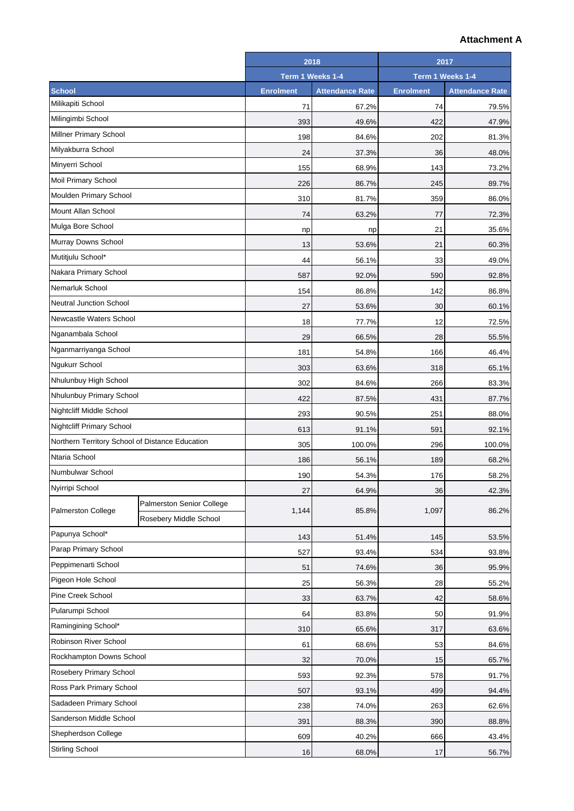## **Attachment A**

|                                                 |                           | 2018             |                        | 2017             |                        |
|-------------------------------------------------|---------------------------|------------------|------------------------|------------------|------------------------|
|                                                 |                           | Term 1 Weeks 1-4 |                        | Term 1 Weeks 1-4 |                        |
| <b>School</b>                                   |                           | <b>Enrolment</b> | <b>Attendance Rate</b> | <b>Enrolment</b> | <b>Attendance Rate</b> |
| Milikapiti School                               |                           | 71               | 67.2%                  | 74               | 79.5%                  |
| Milingimbi School                               |                           | 393              | 49.6%                  | 422              | 47.9%                  |
| <b>Millner Primary School</b>                   |                           | 198              | 84.6%                  | 202              | 81.3%                  |
| Milyakburra School                              |                           | 24               | 37.3%                  | 36               | 48.0%                  |
| Minyerri School                                 |                           | 155              | 68.9%                  | 143              | 73.2%                  |
| <b>Moil Primary School</b>                      |                           | 226              | 86.7%                  | 245              | 89.7%                  |
| Moulden Primary School                          |                           | 310              | 81.7%                  | 359              | 86.0%                  |
| Mount Allan School                              |                           | 74               | 63.2%                  | 77               | 72.3%                  |
| Mulga Bore School                               |                           | np               | np                     | 21               | 35.6%                  |
| Murray Downs School                             |                           | 13               | 53.6%                  | 21               | 60.3%                  |
| Mutitjulu School*                               |                           | 44               | 56.1%                  | 33               | 49.0%                  |
| Nakara Primary School                           |                           | 587              | 92.0%                  | 590              | 92.8%                  |
| Nemarluk School                                 |                           | 154              | 86.8%                  | 142              | 86.8%                  |
| <b>Neutral Junction School</b>                  |                           | 27               | 53.6%                  | 30               | 60.1%                  |
| Newcastle Waters School                         |                           | 18               | 77.7%                  | 12               | 72.5%                  |
| Nganambala School                               |                           | 29               | 66.5%                  | 28               | 55.5%                  |
| Nganmarriyanga School                           |                           | 181              | 54.8%                  | 166              | 46.4%                  |
| Ngukurr School                                  |                           | 303              | 63.6%                  | 318              | 65.1%                  |
| Nhulunbuy High School                           |                           | 302              | 84.6%                  | 266              | 83.3%                  |
| Nhulunbuy Primary School                        |                           | 422              | 87.5%                  | 431              | 87.7%                  |
| <b>Nightcliff Middle School</b>                 |                           | 293              | 90.5%                  | 251              | 88.0%                  |
| <b>Nightcliff Primary School</b>                |                           | 613              | 91.1%                  | 591              | 92.1%                  |
| Northern Territory School of Distance Education |                           | 305              | 100.0%                 | 296              | 100.0%                 |
| Ntaria School                                   |                           | 186              | 56.1%                  | 189              | 68.2%                  |
| Numbulwar School                                |                           | 190              | 54.3%                  | 176              | 58.2%                  |
| Nyirripi School                                 |                           | 27               | 64.9%                  | 36               | 42.3%                  |
| <b>Palmerston College</b>                       | Palmerston Senior College | 1,144            | 85.8%                  | 1,097            | 86.2%                  |
|                                                 | Rosebery Middle School    |                  |                        |                  |                        |
| Papunya School*                                 |                           | 143              | 51.4%                  | 145              | 53.5%                  |
| Parap Primary School                            |                           | 527              | 93.4%                  | 534              | 93.8%                  |
| Peppimenarti School                             |                           | 51               | 74.6%                  | 36               | 95.9%                  |
| Pigeon Hole School                              |                           | 25               | 56.3%                  | 28               | 55.2%                  |
| Pine Creek School                               |                           | 33               | 63.7%                  | 42               | 58.6%                  |
| Pularumpi School                                |                           | 64               | 83.8%                  | 50               | 91.9%                  |
| Ramingining School*                             |                           | 310              | 65.6%                  | 317              | 63.6%                  |
| Robinson River School                           |                           | 61               | 68.6%                  | 53               | 84.6%                  |
| Rockhampton Downs School                        |                           | 32               | 70.0%                  | 15               | 65.7%                  |
| Rosebery Primary School                         |                           | 593              | 92.3%                  | 578              | 91.7%                  |
| Ross Park Primary School                        |                           | 507              | 93.1%                  | 499              | 94.4%                  |
| Sadadeen Primary School                         |                           | 238              | 74.0%                  | 263              | 62.6%                  |
| Sanderson Middle School                         |                           | 391              | 88.3%                  | 390              | 88.8%                  |
| Shepherdson College                             |                           | 609              | 40.2%                  | 666              | 43.4%                  |
| <b>Stirling School</b>                          |                           | 16               | 68.0%                  | 17               | 56.7%                  |